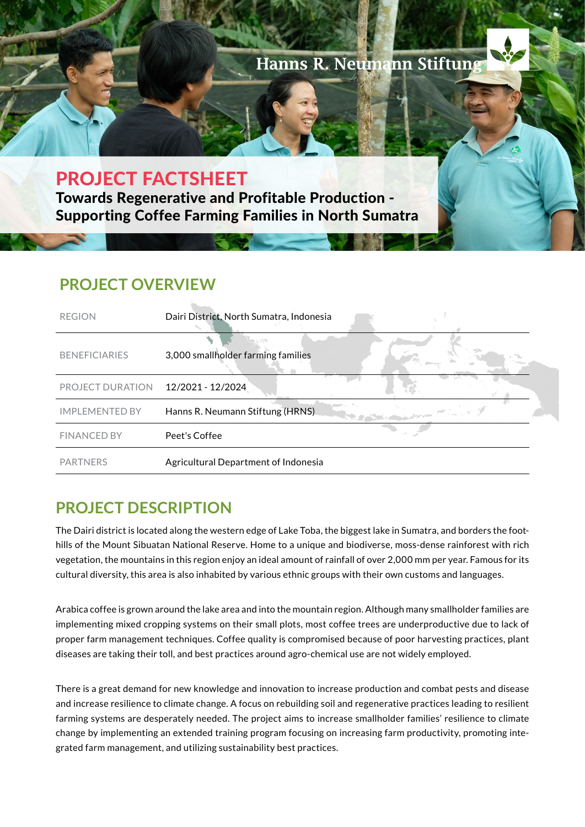

# PROJECT FACTSHEET

Towards Regenerative and Profitable Production - Supporting Coffee Farming Families in North Sumatra

### **PROJECT OVERVIEW**

| <b>REGION</b>         | Dairi District, North Sumatra, Indonesia            |
|-----------------------|-----------------------------------------------------|
| <b>BENEFICIARIES</b>  | 3,000 smallholder farming families                  |
| PROJECT DURATION      | 12/2021 - 12/2024                                   |
| <b>IMPLEMENTED BY</b> | Hanns R. Neumann Stiftung (HRNS)<br><b>Brandman</b> |
| <b>FINANCED BY</b>    | Peet's Coffee                                       |
| <b>PARTNERS</b>       | Agricultural Department of Indonesia                |

## **PROJECT DESCRIPTION**

The Dairi district is located along the western edge of Lake Toba, the biggest lake in Sumatra, and borders the foothills of the Mount Sibuatan National Reserve. Home to a unique and biodiverse, moss-dense rainforest with rich vegetation, the mountains in this region enjoy an ideal amount of rainfall of over 2,000 mm per year. Famous for its cultural diversity, this area is also inhabited by various ethnic groups with their own customs and languages.

Arabica coffee is grown around the lake area and into the mountain region. Although many smallholder families are implementing mixed cropping systems on their small plots, most coffee trees are underproductive due to lack of proper farm management techniques. Coffee quality is compromised because of poor harvesting practices, plant diseases are taking their toll, and best practices around agro-chemical use are not widely employed.

There is a great demand for new knowledge and innovation to increase production and combat pests and disease and increase resilience to climate change. A focus on rebuilding soil and regenerative practices leading to resilient farming systems are desperately needed. The project aims to increase smallholder families' resilience to climate change by implementing an extended training program focusing on increasing farm productivity, promoting integrated farm management, and utilizing sustainability best practices.